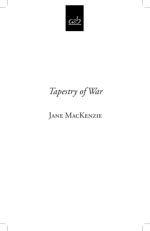

## *Tapestry of War*

## Jane MacKenzie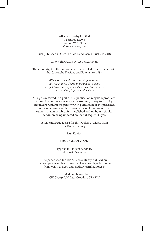Allison & Busby Limited 12 Fitzroy Mews London W1T 6DW *allisonandbusby.com*

First published in Great Britain by Allison & Busby in 2018.

Copyright © 2018 by Jane MacKenzie

The moral right of the author is hereby asserted in accordance with the Copyright, Designs and Patents Act 1988.

> *All characters and events in this publication, other than those clearly in the public domain, are fictitious and any resemblance to actual persons, living or dead, is purely coincidental.*

All rights reserved. No part of this publication may be reproduced, stored in a retrieval system, or transmitted, in any form or by any means without the prior written permission of the publisher, nor be otherwise circulated in any form of binding or cover other than that in which it is published and without a similar condition being imposed on the subsequent buyer.

> A CIP catalogue record for this book is available from the British Library.

> > First Edition

ISBN 978-0-7490-2299-0

Typeset in 11/16 pt Sabon by Allison & Busby Ltd

The paper used for this Allison & Busby publication has been produced from trees that have been legally sourced from well-managed and credibly certified forests.

> Printed and bound by CPI Group (UK) Ltd, Croydon, CR0 4YY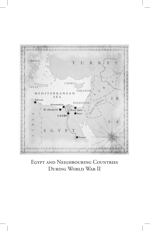

Egypt and Neighbouring Countries During World War II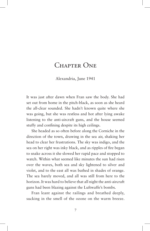## CHAPTER ONE

Alexandria, June 1941

It was just after dawn when Fran saw the body. She had set out from home in the pitch-black, as soon as she heard the all-clear sounded. She hadn't known quite where she was going, but she was restless and hot after lying awake listening to the anti-aircraft guns, and the house seemed stuffy and confining despite its high ceilings.

She headed as so often before along the Corniche in the direction of the town, drawing in the sea air, shaking her head to clear her frustrations. The sky was indigo, and the sea on her right was inky black, and as ripples of fire began to snake across it she slowed her rapid pace and stopped to watch. Within what seemed like minutes the sun had risen over the waves, both sea and sky lightened to silver and violet, and to the east all was bathed in shades of orange. The sea barely moved, and all was still from here to the horizon. It was hard to believe that all night the anti-aircraft guns had been blazing against the Luftwaffe's bombs.

Fran leant against the railings and breathed deeply, sucking in the smell of the ozone on the warm breeze.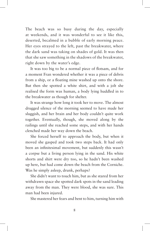The beach was so busy during the day, especially at weekends, and it was wonderful to see it like this, deserted, becalmed in a bubble of early morning peace. Her eyes strayed to the left, past the breakwater, where the dark sand was taking on shades of gold. It was then that she saw something in the shadows of the breakwater, right down by the water's edge.

It was too big to be a normal piece of flotsam, and for a moment Fran wondered whether it was a piece of debris from a ship, or a floating mine washed up onto the shore. But then she spotted a white shirt, and with a jolt she realised the form was human, a body lying huddled in to the breakwater as though for shelter.

It was strange how long it took her to move. The almost drugged silence of the morning seemed to have made her sluggish, and her brain and her body couldn't quite work together. Eventually, though, she moved along by the railings until she reached some steps, and with her hands clenched made her way down the beach.

She forced herself to approach the body, but when it moved she gasped and took two steps back. It had only been an infinitesimal movement, but suddenly this wasn't a corpse but a living person lying in the sand. His white shorts and shirt were dry too, so he hadn't been washed up here, but had come down the beach from the Corniche. Was he simply asleep, drunk, perhaps?

She didn't want to touch him, but as she stared from her withdrawn space she spotted dark spots in the sand leading away from the man. They were blood, she was sure. This man had been injured.

She mastered her fears and bent to him, turning him with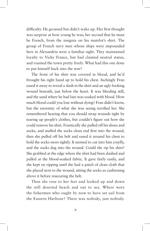difficulty. He groaned but didn't wake up. Her first thought was surprise at how young he was; her second that he must be French, from the insignia on his matelot's shirt. The group of French navy men whose ships were impounded here in Alexandria were a familiar sight. They maintained loyalty to Vichy France, but had claimed neutral status, and roamed the town pretty freely. What had this one done to put himself back into the war?

The front of his shirt was covered in blood, and he'd brought his right hand up to hold his chest. Inchingly Fran eased it away to reveal a slash in the shirt and an ugly-looking wound beneath, just below the heart. It was bleeding still, and the sand where he had lain was soaked with blood. How much blood could you lose without dying? Fran didn't know, but the enormity of what she was seeing terrified her. She remembered hearing that you should strap wounds tight by tearing up people's clothes, but couldn't figure out how she could remove his shirt. Frantically she pulled off his shoes and socks, and stuffed the socks clean end first into the wound, then she pulled off his belt and eased it around his chest to hold the socks more tightly. It seemed to cut into him cruelly, and the socks dug into the wound. Could she rip his shirt? She grabbed at the edge where the shirt had been slashed and pulled at the blood-soaked fabric. It gave fairly easily, and she kept on ripping until she had a patch of clean cloth that she placed next to the wound, sitting the socks as cushioning above it before resecuring the belt.

Then she rose to her feet and looked up and down the still deserted beach and out to sea. Where were the fishermen who ought by now to have set sail from the Eastern Harbour? There was nobody, just nobody.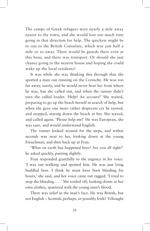The camps of Greek refugees were nearly a mile away nearer to the town, and she would lose too much time going in that direction for help. The quickest might be to run to the British Consulate, which was just half a mile or so away. There would be guards there even at this hour, and there was transport. Or should she just chance going to the nearest house and hoping she could wake up the local residents?

It was while she was thinking this through that she spotted a man out running on the Corniche. He was too far away, surely, and he would never hear her from where he was, but she called out, and when the runner didn't turn she called louder. 'Help! *Au secours!*' She waited, preparing to go up the beach herself in search of help, but when she gave one more rather desperate cry he turned, and stopped, staring down the beach at her. She waved, and called again. 'Please help me!' He was European, she was sure, and would understand English.

The runner looked around for the steps, and within seconds was next to her, looking down at the young Frenchman, and then back up at Fran.

'What on earth has happened here? Are you all right?' he asked quickly, panting slightly.

Fran responded gratefully to the urgency in his voice. 'I was out walking and spotted him. He was just lying huddled here. I think he must have been bleeding for hours,' she said, and her voice came out ragged. 'I tried to stop the bleeding . . .' She trailed off, looking down at her own clothes, spattered with the young man's blood.

There was relief in the man's face. He was British, but not English – Scottish, perhaps, or possibly Irish? 'I thought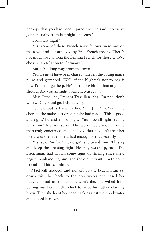perhaps that you had been injured too,' he said. 'So we've got a casualty from last night, it seems.'

'From last night?'

'Yes, some of these French navy fellows were out on the town and got attacked by Free French troops. There's not much love among the fighting French for those who've chosen capitulation to Germany.'

'But he's a long way from the town!'

'Yes, he must have been chased.' He felt the young man's pulse and grimaced. 'Well, if the blighter's not to peg it now I'd better get help. He's lost more blood than any man should. Are you all right yourself, Miss . . . ?'

'Miss Trevillian, Frances Trevillian. Yes, I'm fine, don't worry. Do go and get help quickly.'

He held out a hand to her. 'I'm Jim MacNeill.' He checked the makeshift dressing she had made. 'This is good and tight,' he said approvingly. 'You'll be all right staying with him? Are you sure?' The words were more routine than truly concerned, and she liked that he didn't treat her like a weak female. She'd had enough of that recently.

'Yes, yes, I'm fine! Please go!' she urged him. 'I'll stay and keep the dressing tight. He may wake up, too.' The Frenchman had shown some signs of stirring since she'd begun manhandling him, and she didn't want him to come to and find himself alone.

MacNeill nodded, and ran off up the beach. Fran sat down with her back to the breakwater and eased her patient's head on to her lap. Don't die, she willed him, pulling out her handkerchief to wipe his rather clammy brow. Then she leant her head back against the breakwater and closed her eyes.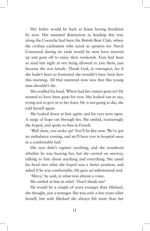Her father would be back at home having breakfast by now. Her unstated destination in heading this way along the Corniche had been the British Boat Club, where the civilian yachtsmen who acted as spotters for Naval Command during air raids would by now have moored up and gone off to enjoy their weekends. Fran had been so mad last night at not being allowed to join them, just because she was female. Thank God, in retrospect, for if she hadn't been so frustrated she wouldn't have been here this morning. All that mattered now was that this young man shouldn't die.

She cradled his head. Where had her runner gone to? He seemed to have been gone for ever. She looked out to sea, trying not to give in to her fears. He is *not* going to die, she told herself again.

She looked down at him again, and his eyes were open. A surge of hope ran through her. She smiled, reassuringly she hoped, and spoke to him in French.

'Well done, you woke up! You'll be fine now. We've got an ambulance coming, and we'll have you in hospital soon in a comfortable bed.'

His eyes didn't register anything, and she wondered whether he was hearing her, but she carried on anyway, talking to him about anything and everything. She eased his head into what she hoped was a better position, and asked if he was comfortable. He gave an infinitesimal nod.

'*Merci*,' he said, in what was almost a voice.

She smiled at him in relief. 'Don't thank me!'

He would be a couple of years younger than Michael, she thought, just a teenager. She was only a few years older herself, but with Michael she always felt more than her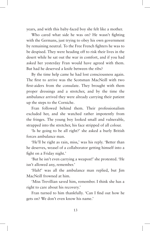years, and with this baby-faced boy she felt like a mother.

Who cared what side he was on? He wasn't fighting with the Germans, just trying to obey his own government by remaining neutral. To the Free French fighters he was to be despised. They were heading off to risk their lives in the desert while he sat out the war in comfort, and if you had asked her yesterday Fran would have agreed with them. But had he deserved a knife between the ribs?

By the time help came he had lost consciousness again. The first to arrive was the Scotsman MacNeill with two first-aiders from the consulate. They brought with them proper dressings and a stretcher, and by the time the ambulance arrived they were already carrying their patient up the steps to the Corniche.

Fran followed behind them. Their professionalism excluded her, and she watched rather impotently from the fringes. The young boy looked small and vulnerable, strapped into the stretcher, his face stripped of all colour.

'Is he going to be all right?' she asked a burly British forces ambulance man.

'He'll be right as rain, miss,' was his reply. 'Better than he deserves, weasel of a collaborator getting himself into a fight on a Friday night.'

'But he isn't even carrying a weapon!' she protested. 'He isn't allowed any, remember.'

'Hah!' was all the ambulance man replied, but Jim MacNeill frowned at him.

'Miss Trevillian saved him, remember. I think she has a right to care about his recovery.'

Fran turned to him thankfully. 'Can I find out how he gets on? We don't even know his name.'